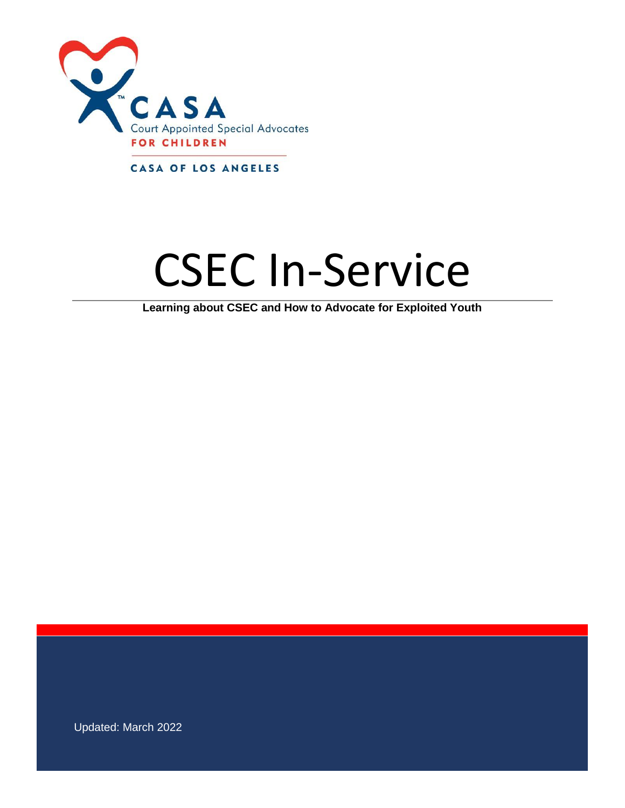

CASA OF LOS ANGELES

# CSEC In-Service

**Learning about CSEC and How to Advocate for Exploited Youth**

Updated: March 2022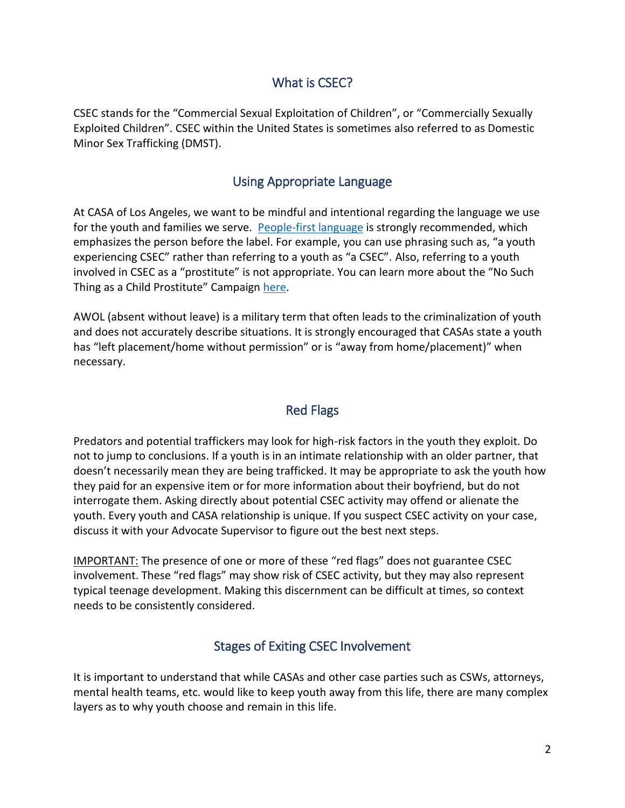## What is CSEC?

CSEC stands for the "Commercial Sexual Exploitation of Children", or "Commercially Sexually Exploited Children". CSEC within the United States is sometimes also referred to as Domestic Minor Sex Trafficking (DMST).

## Using Appropriate Language

At CASA of Los Angeles, we want to be mindful and intentional regarding the language we use for the youth and families we serve. [People-first language](https://texascasa.org/2018/06/18/cultural-considerations-using-people-first-language/#:~:text=We%20at%20CASA%20can%20demonstrate%20our%20commitment%20to,or%20subconscious%20marginalization%20or%20dehumanization%20when%20discussing%20people.) is strongly recommended, which emphasizes the person before the label. For example, you can use phrasing such as, "a youth experiencing CSEC" rather than referring to a youth as "a CSEC". Also, referring to a youth involved in CSEC as a "prostitute" is not appropriate. You can learn more about the "No Such Thing as a Child Prostitute" Campaign [here.](https://rights4girls.org/campaign/)

AWOL (absent without leave) is a military term that often leads to the criminalization of youth and does not accurately describe situations. It is strongly encouraged that CASAs state a youth has "left placement/home without permission" or is "away from home/placement)" when necessary.

# Red Flags

Predators and potential traffickers may look for high-risk factors in the youth they exploit. Do not to jump to conclusions. If a youth is in an intimate relationship with an older partner, that doesn't necessarily mean they are being trafficked. It may be appropriate to ask the youth how they paid for an expensive item or for more information about their boyfriend, but do not interrogate them. Asking directly about potential CSEC activity may offend or alienate the youth. Every youth and CASA relationship is unique. If you suspect CSEC activity on your case, discuss it with your Advocate Supervisor to figure out the best next steps.

IMPORTANT: The presence of one or more of these "red flags" does not guarantee CSEC involvement. These "red flags" may show risk of CSEC activity, but they may also represent typical teenage development. Making this discernment can be difficult at times, so context needs to be consistently considered.

## Stages of Exiting CSEC Involvement

It is important to understand that while CASAs and other case parties such as CSWs, attorneys, mental health teams, etc. would like to keep youth away from this life, there are many complex layers as to why youth choose and remain in this life.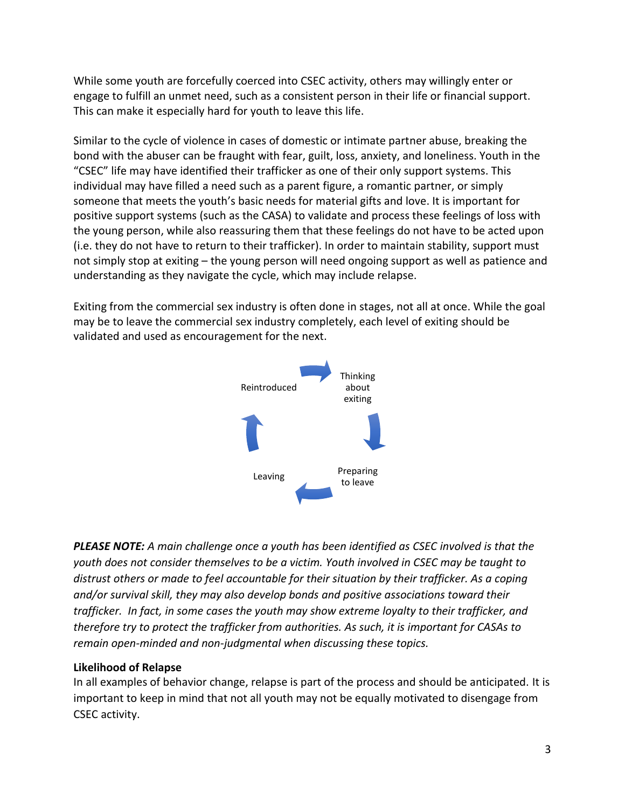While some youth are forcefully coerced into CSEC activity, others may willingly enter or engage to fulfill an unmet need, such as a consistent person in their life or financial support. This can make it especially hard for youth to leave this life.

Similar to the cycle of violence in cases of domestic or intimate partner abuse, breaking the bond with the abuser can be fraught with fear, guilt, loss, anxiety, and loneliness. Youth in the "CSEC" life may have identified their trafficker as one of their only support systems. This individual may have filled a need such as a parent figure, a romantic partner, or simply someone that meets the youth's basic needs for material gifts and love. It is important for positive support systems (such as the CASA) to validate and process these feelings of loss with the young person, while also reassuring them that these feelings do not have to be acted upon (i.e. they do not have to return to their trafficker). In order to maintain stability, support must not simply stop at exiting – the young person will need ongoing support as well as patience and understanding as they navigate the cycle, which may include relapse.

Exiting from the commercial sex industry is often done in stages, not all at once. While the goal may be to leave the commercial sex industry completely, each level of exiting should be validated and used as encouragement for the next.



*PLEASE NOTE: A main challenge once a youth has been identified as CSEC involved is that the youth does not consider themselves to be a victim. Youth involved in CSEC may be taught to distrust others or made to feel accountable for their situation by their trafficker. As a coping and/or survival skill, they may also develop bonds and positive associations toward their trafficker. In fact, in some cases the youth may show extreme loyalty to their trafficker, and therefore try to protect the trafficker from authorities. As such, it is important for CASAs to remain open-minded and non-judgmental when discussing these topics.*

#### **Likelihood of Relapse**

In all examples of behavior change, relapse is part of the process and should be anticipated. It is important to keep in mind that not all youth may not be equally motivated to disengage from CSEC activity.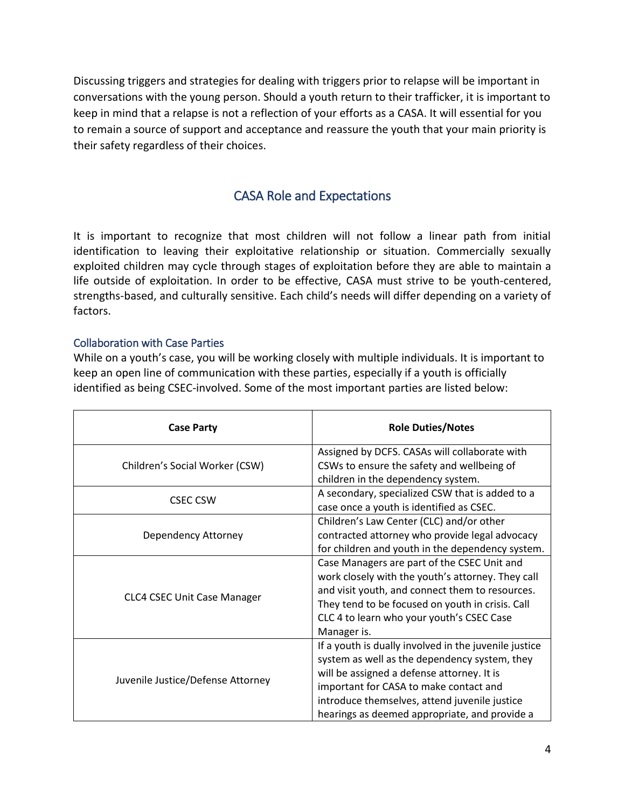Discussing triggers and strategies for dealing with triggers prior to relapse will be important in conversations with the young person. Should a youth return to their trafficker, it is important to keep in mind that a relapse is not a reflection of your efforts as a CASA. It will essential for you to remain a source of support and acceptance and reassure the youth that your main priority is their safety regardless of their choices.

# CASA Role and Expectations

It is important to recognize that most children will not follow a linear path from initial identification to leaving their exploitative relationship or situation. Commercially sexually exploited children may cycle through stages of exploitation before they are able to maintain a life outside of exploitation. In order to be effective, CASA must strive to be youth-centered, strengths-based, and culturally sensitive. Each child's needs will differ depending on a variety of factors.

#### Collaboration with Case Parties

While on a youth's case, you will be working closely with multiple individuals. It is important to keep an open line of communication with these parties, especially if a youth is officially identified as being CSEC-involved. Some of the most important parties are listed below:

| <b>Case Party</b>                 | <b>Role Duties/Notes</b>                              |
|-----------------------------------|-------------------------------------------------------|
| Children's Social Worker (CSW)    | Assigned by DCFS. CASAs will collaborate with         |
|                                   | CSWs to ensure the safety and wellbeing of            |
|                                   | children in the dependency system.                    |
| <b>CSEC CSW</b>                   | A secondary, specialized CSW that is added to a       |
|                                   | case once a youth is identified as CSEC.              |
| Dependency Attorney               | Children's Law Center (CLC) and/or other              |
|                                   | contracted attorney who provide legal advocacy        |
|                                   | for children and youth in the dependency system.      |
| CLC4 CSEC Unit Case Manager       | Case Managers are part of the CSEC Unit and           |
|                                   | work closely with the youth's attorney. They call     |
|                                   | and visit youth, and connect them to resources.       |
|                                   | They tend to be focused on youth in crisis. Call      |
|                                   | CLC 4 to learn who your youth's CSEC Case             |
|                                   | Manager is.                                           |
| Juvenile Justice/Defense Attorney | If a youth is dually involved in the juvenile justice |
|                                   | system as well as the dependency system, they         |
|                                   | will be assigned a defense attorney. It is            |
|                                   | important for CASA to make contact and                |
|                                   | introduce themselves, attend juvenile justice         |
|                                   | hearings as deemed appropriate, and provide a         |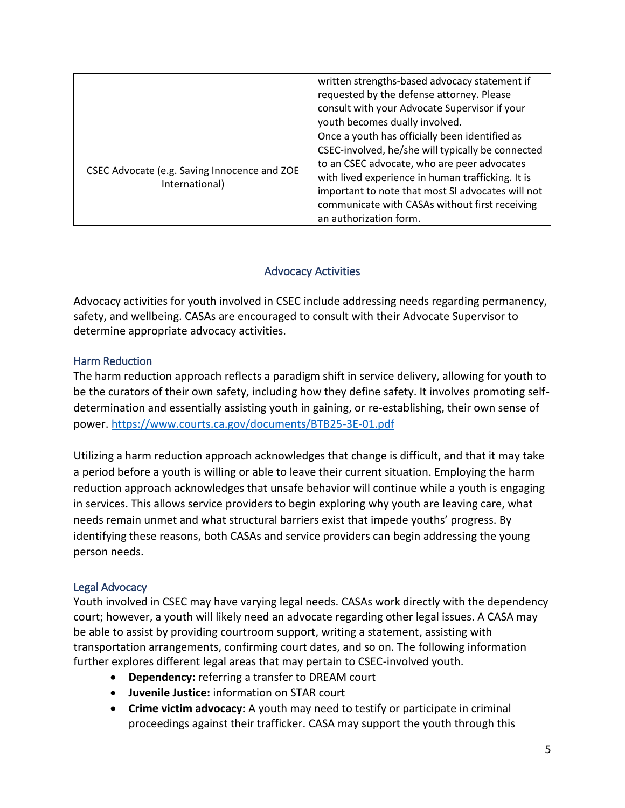|                                                                | written strengths-based advocacy statement if     |
|----------------------------------------------------------------|---------------------------------------------------|
|                                                                | requested by the defense attorney. Please         |
|                                                                | consult with your Advocate Supervisor if your     |
|                                                                | youth becomes dually involved.                    |
| CSEC Advocate (e.g. Saving Innocence and ZOE<br>International) | Once a youth has officially been identified as    |
|                                                                | CSEC-involved, he/she will typically be connected |
|                                                                | to an CSEC advocate, who are peer advocates       |
|                                                                | with lived experience in human trafficking. It is |
|                                                                | important to note that most SI advocates will not |
|                                                                | communicate with CASAs without first receiving    |
|                                                                | an authorization form.                            |

#### Advocacy Activities

Advocacy activities for youth involved in CSEC include addressing needs regarding permanency, safety, and wellbeing. CASAs are encouraged to consult with their Advocate Supervisor to determine appropriate advocacy activities.

#### Harm Reduction

The harm reduction approach reflects a paradigm shift in service delivery, allowing for youth to be the curators of their own safety, including how they define safety. It involves promoting selfdetermination and essentially assisting youth in gaining, or re-establishing, their own sense of power.<https://www.courts.ca.gov/documents/BTB25-3E-01.pdf>

Utilizing a harm reduction approach acknowledges that change is difficult, and that it may take a period before a youth is willing or able to leave their current situation. Employing the harm reduction approach acknowledges that unsafe behavior will continue while a youth is engaging in services. This allows service providers to begin exploring why youth are leaving care, what needs remain unmet and what structural barriers exist that impede youths' progress. By identifying these reasons, both CASAs and service providers can begin addressing the young person needs.

#### Legal Advocacy

Youth involved in CSEC may have varying legal needs. CASAs work directly with the dependency court; however, a youth will likely need an advocate regarding other legal issues. A CASA may be able to assist by providing courtroom support, writing a statement, assisting with transportation arrangements, confirming court dates, and so on. The following information further explores different legal areas that may pertain to CSEC-involved youth.

- **Dependency:** referring a transfer to DREAM court
- **Juvenile Justice:** information on STAR court
- **Crime victim advocacy:** A youth may need to testify or participate in criminal proceedings against their trafficker. CASA may support the youth through this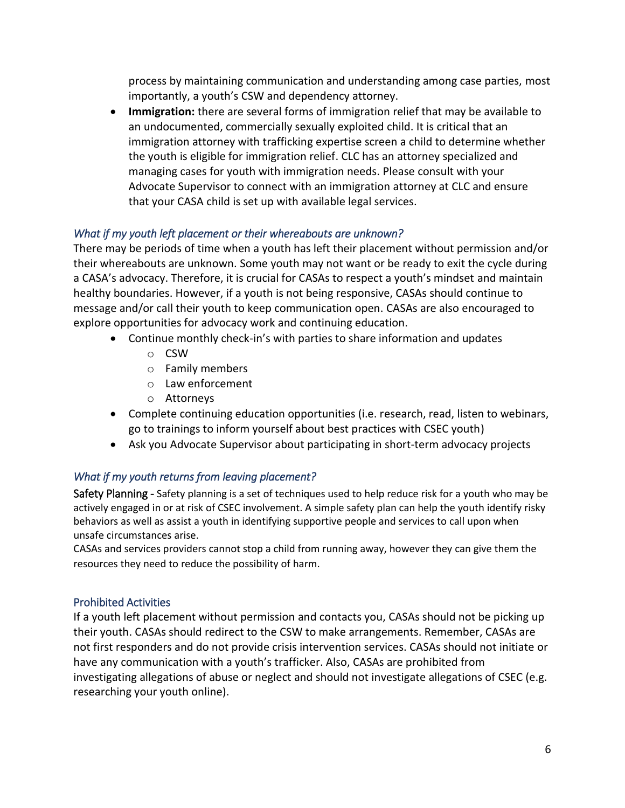process by maintaining communication and understanding among case parties, most importantly, a youth's CSW and dependency attorney.

• **Immigration:** there are several forms of immigration relief that may be available to an undocumented, commercially sexually exploited child. It is critical that an immigration attorney with trafficking expertise screen a child to determine whether the youth is eligible for immigration relief. CLC has an attorney specialized and managing cases for youth with immigration needs. Please consult with your Advocate Supervisor to connect with an immigration attorney at CLC and ensure that your CASA child is set up with available legal services.

## *What if my youth left placement or their whereabouts are unknown?*

There may be periods of time when a youth has left their placement without permission and/or their whereabouts are unknown. Some youth may not want or be ready to exit the cycle during a CASA's advocacy. Therefore, it is crucial for CASAs to respect a youth's mindset and maintain healthy boundaries. However, if a youth is not being responsive, CASAs should continue to message and/or call their youth to keep communication open. CASAs are also encouraged to explore opportunities for advocacy work and continuing education.

- Continue monthly check-in's with parties to share information and updates
	- o CSW
	- o Family members
	- o Law enforcement
	- o Attorneys
- Complete continuing education opportunities (i.e. research, read, listen to webinars, go to trainings to inform yourself about best practices with CSEC youth)
- Ask you Advocate Supervisor about participating in short-term advocacy projects

## *What if my youth returns from leaving placement?*

Safety Planning - Safety planning is a set of techniques used to help reduce risk for a youth who may be actively engaged in or at risk of CSEC involvement. A simple safety plan can help the youth identify risky behaviors as well as assist a youth in identifying supportive people and services to call upon when unsafe circumstances arise.

CASAs and services providers cannot stop a child from running away, however they can give them the resources they need to reduce the possibility of harm.

#### Prohibited Activities

If a youth left placement without permission and contacts you, CASAs should not be picking up their youth. CASAs should redirect to the CSW to make arrangements. Remember, CASAs are not first responders and do not provide crisis intervention services. CASAs should not initiate or have any communication with a youth's trafficker. Also, CASAs are prohibited from investigating allegations of abuse or neglect and should not investigate allegations of CSEC (e.g. researching your youth online).